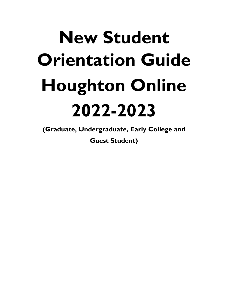# **New Student Orientation Guide Houghton Online 2022-2023**

**(Graduate, Undergraduate, Early College and Guest Student)**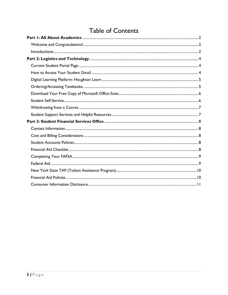# **Table of Contents**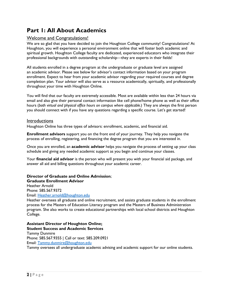# <span id="page-2-0"></span>**Part 1: All About Academics**

### <span id="page-2-1"></span>Welcome and Congratulations!

We are so glad that you have decided to join the Houghton College community! Congratulations! At Houghton, you will experience a personal environment online that will foster both academic and spiritual growth. Houghton College faculty are dedicated, experienced educators who integrate their professional backgrounds with outstanding scholarship—they are experts in their fields!

All students enrolled in a degree program at the undergraduate or graduate level are assigned an academic advisor. Please see below for advisor's contact information based on your program enrollment. Expect to hear from your academic advisor regarding your required courses and degree completion plan. Your advisor will also serve as a resource academically, spiritually, and professionally throughout your time with Houghton Online.

You will find that our faculty are extremely accessible. Most are available within less than 24 hours via email and also give their personal contact information like cell phone/home phone as well as their office hours (*both virtual and physical office hours on campus where applicable.*) They are always the first person you should connect with if you have any questions regarding a specific course. Let's get started!

#### <span id="page-2-2"></span>**Introductions**

Houghton Online has three types of advisors: enrollment, academic, and financial aid.

**Enrollment advisors** support you on the front end of your journey. They help you navigate the process of enrolling, registering, and financing the degree program that you are interested in.

Once you are enrolled, an **academic advisor** helps you navigate the process of setting up your class schedule and giving any needed academic support as you begin and continue your classes.

Your **financial aid advisor** is the person who will present you with your financial aid package, and answer all aid and billing questions throughout your academic career.

# **Director of Graduate and Online Admission**; **Graduate Enrollment Advisor**

Heather Arnold Phone: 585.567.9372 Email: [Heather.arnold@houghton.edu](mailto:Heather.arnold@houghton.edu)

Heather oversees all graduate and online recruitment, and assists graduate students in the enrollment process for the Masters of Education Literacy program and the Masters of Business Administration program. She also works to create educational partnerships with local school districts and Houghton College.

# **Assistant Director of Houghton Online; Student Success and Academic Services**

Tammy Dunmire Phone: 585.567.9355 | Call or text: 585.209.0921 Email: [Tammy.dunmire@houghton.edu](mailto:Tammy.dunmire@houghton.edu)

Tammy oversees all undergraduate academic advising and academic support for our online students.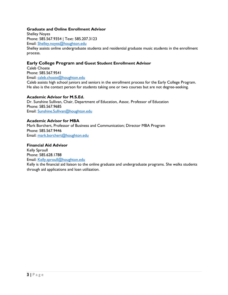#### **Graduate and Online Enrollment Advisor**

Shelley Noyes Phone: 585.567.9354 | Text: 585.207.3123 Email: [Shelley.noyes@houghton.edu](mailto:Shelley.noyes@houghton.edu) Shelley assists online undergraduate students and residential graduate music students in the enrollment process.

#### **Early College Program and Guest Student Enrollment Advisor**

Caleb Choate Phone: 585.567.9541 Email: [caleb.choate@houghton.edu](mailto:Andrew.oden@houghton.edu) Caleb assists high school juniors and seniors in the enrollment process for the Early College Program. He also is the contact person for students taking one or two courses but are not degree-seeking.

#### **Academic Advisor for M.S.Ed.**

Dr. Sunshine Sullivan, Chair, Department of Education, Assoc. Professor of Education Phone: 585.567.9685 Email: [Sunshine.Sullivan@houghton.edu](mailto:Sunshine.Sullivan@houghton.edu)

#### **Academic Advisor for MBA**

Mark Borchert, Professor of Business and Communication; Director MBA Program Phone: 585.567.9446 Email: [mark.borchert@houghton.edu](mailto:mark.borchert@houghton.edu)

#### **Financial Aid Advisor**

Kelly Sproull Phone: 585.628.1788 Email: [Kelly.sproull@houghton.edu](mailto:Kelly.sproull@houghton.edu) Kelly is the financial aid liaison to the online graduate and undergraduate programs. She walks students

through aid applications and loan utilization.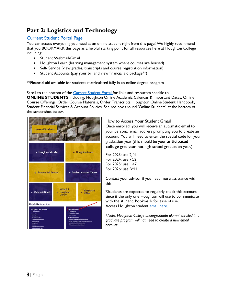# <span id="page-4-0"></span>**Part 2: Logistics and Technology**

# <span id="page-4-1"></span>[Current Student Portal Page](https://www.houghton.edu/current-students/)

You can access everything you need as an online student right from this page! We highly recommend that you BOOKMARK this page as a helpful starting point for all resources here at Houghton College including:

- Student Webmail/Gmail
- Houghton Learn (learning management system where courses are housed)
- Self- Service (view grades, transcripts and course registration information)
- Student Accounts (pay your bill and view financial aid package<sup>\*\*</sup>)

\*\*Financial aid available for students matriculated fully in an online degree program

Scroll to the bottom of the **Current Student Portal** for links and resources specific to **ONLINE STUDENTS** including: Houghton Online Academic Calendar & Important Dates, Online Course Offerings, Order Course Materials, Order Transcripts, Houghton Online Student Handbook, Student Financial Services & Account Policies. See red box around 'Online Students' at the bottom of the screenshot below.



#### <span id="page-4-2"></span>How to Access Your Student Gmail

Once enrolled, you will receive an automatic email to your personal email address prompting you to create an account. You will need to enter the special code for your graduation year (this should be your **anticipated college** grad year, not high school graduation year.)

For 2023: use 2JN. For 2024: use 7C2. For 2025: use H47. For 2026: use BYH.

Contact your advisor if you need more assistance with this.

\*Students are expected to regularly check this account since it the only one Houghton will use to communicate with the student. Bookmark for ease of use. Access Houghton student [email here.](https://accounts.google.com/signin/v2/identifier?continue=https%3A%2F%2Fmail.google.com%2Fmail%2F&service=mail&hd=houghton.edu&sacu=1&flowName=GlifWebSignIn&flowEntry=AddSession)

*\*Note: Houghton College undergraduate alumni enrolled in a graduate program will not need to create a new email account.*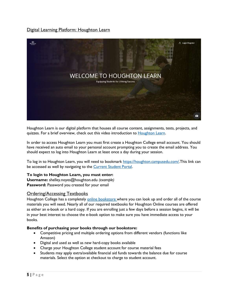# <span id="page-5-0"></span>Digital Learning Platform: Houghton Learn



Houghton Learn is our digital platform that houses all course content, assignments, tests, projects, and quizzes. For a brief overview, check out this video introduction to **Houghton Learn**.

In order to access Houghton Learn you must first create a Houghton College email account. You should have received an auto email to your personal account prompting you to create the email address. You should expect to log into Houghton Learn at least once a day during your session.

To log in to Houghton Learn, you will need to bookmark [https://houghton.campusedu.com/.](https://houghton.campusedu.com/)This link can be accessed as well by navigating to the [Current Student Portal.](https://www.houghton.edu/students/)

#### **To login to Houghton Learn, you must enter:**

<span id="page-5-1"></span>**Username:** shelley.noyes@houghton.edu *(example)* **Password:** Password you created for your email

#### Ordering/Accessing Textbooks

Houghton College has a completely [online bookstore wh](http://houghton.textbookx.com/institutional/index.php)ere you can look up and order all of the course materials you will need. Nearly all of our required textbooks for Houghton Online courses are offered as either an e-book or a hard copy. If you are enrolling just a few days before a session begins, it will be in your best interest to choose the e-book option to make sure you have immediate access to your books.

#### **Benefits of purchasing your books through our bookstore:**

- Competitive pricing and multiple ordering options from different vendors (functions like Amazon)
- Digital and used as well as new hard-copy books available
- Charge your Houghton College student account for course material fees
- Students may apply extra/available financial aid funds towards the balance due for course materials. Select the option at checkout to charge to student account.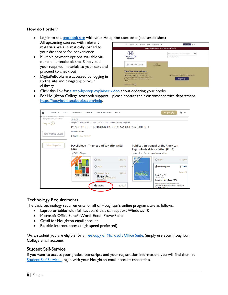#### <span id="page-6-0"></span>**[How do I order?](https://www.youtube.com/watch?v=K22klcZP6c0)**

- Log in to the [textbook site](https://houghton.textbookx.com/institutional/index.php) with your Houghton username (see screenshot)
- All upcoming courses with relevant materials are automatically loaded to your dashboard for convenience
- Multiple payment options available via our online textbook site. Simply add your required materials to your cart and proceed to check out
- Digital/eBooks are accessed by logging in to the site and navigating to your eLibrary

| ٠<br><b>FACULTY</b><br>SELL<br><b>RETURNS</b>                                                                                                                                                                                   | <b>TRACK</b><br><b>BOOK SEARCH</b><br>HELP                        | W<br>Log In G                                                                 |
|---------------------------------------------------------------------------------------------------------------------------------------------------------------------------------------------------------------------------------|-------------------------------------------------------------------|-------------------------------------------------------------------------------|
| $\frac{1}{2}$<br><b>HOUGHTON</b><br>COLLEGE                                                                                                                                                                                     | Covid-19 Advisory: Here is our current policy related to Covid-19 | ۵<br>Enter a course name or code, e.g. Accounting 101<br>Search by instructor |
| <b>Find Your Course</b><br>⋒                                                                                                                                                                                                    | Login<br>View your courses                                        |                                                                               |
| <b>View Your Course Items</b><br>Log in with your school account to view a<br>personalized page of your courses and<br>corresponding course materials, or use the 'Find'<br>Your Course' drop-down menu to search by<br>course. |                                                                   | Log in with your Houghton College Account:<br>Log In <sup>①</sup>             |
| Find Your Course (>)                                                                                                                                                                                                            |                                                                   |                                                                               |

- Click this link for [a step-by-step explainer video](https://www.youtube.com/watch?v=K22klcZP6c0) about ordering your books
- For Houghton College textbook support—please contact their customer service department [https://houghton.textbookx.com/help.](https://houghton.textbookx.com/help)

| SELL<br><b>FACULTY</b>                                                                                             | <b>RETURNS</b><br><b>TRACK</b>                         | <b>BOOK SEARCH</b>                                                                                                          | <b>HFIP</b>         |                                       | Log in $\odot$                                                                                       |                     |
|--------------------------------------------------------------------------------------------------------------------|--------------------------------------------------------|-----------------------------------------------------------------------------------------------------------------------------|---------------------|---------------------------------------|------------------------------------------------------------------------------------------------------|---------------------|
| <b>TO MITTING MAIN AVENUE</b><br>see your saved courses<br>Log in $(\triangleright)$<br><b>Find Another Course</b> | <b>COURSE</b><br>Anna Pettway<br>2 Items Save \$219.55 | Houghton College home > 2019 SPRING FULLSEM > Online > Online Programs<br>PSY111 OHS1 - INTRODUCTION TO PSYCHOLOGY (ONLINE) |                     |                                       |                                                                                                      |                     |
| <b>School Supplies</b>                                                                                             | 010)<br>by Weiten Wayne                                | <b>Psychology: Themes and Variations (Ed.</b>                                                                               |                     | by American Psychological Association | <b>Publication Manual of the American</b><br><b>Psychological Association (Ed. 6)</b>                |                     |
|                                                                                                                    |                                                        | O New<br><b>O</b> Used                                                                                                      | \$239.95<br>\$53.98 | OPTIONAL                              | O New                                                                                                | \$36.00             |
|                                                                                                                    | <b>PSYCHOLOGY</b><br>MATRE WEITER  ISTN EDITION        | O Marketplace<br>35+ other sellers<br>including Barnes & Noble,<br>Amazon.com                                               | \$39.80             | <b>Publication</b>                    | <b>Marketplace</b><br>BooksRun, PA<br>*****<br>Condition: Very Good                                  | \$22.00<br>Save 40% |
|                                                                                                                    |                                                        | <b>◎</b> eBook                                                                                                              | \$35.35             |                                       | Ship within 24hrs. Satisfaction 100%<br>guaranteed, APO/FPO addresses supported.<br>272 p. Contains: |                     |

#### Technology Requirements

The basic technology requirements for all of Houghton's online programs are as follows:

- Laptop or tablet with full keyboard that can support Windows 10
- Microsoft Office Suite\*: Word, Excel, PowerPoint
- Gmail for Houghton email account
- <span id="page-6-2"></span>• Reliable internet access (high speed preferred)

\*As a student you are eligible for a [free copy of Microsoft Office Suite.](https://www.microsoft.com/en-us/education/products/office) Simply use your Houghton College email account.

#### <span id="page-6-1"></span>Student Self-Service

If you want to access your grades, transcripts and your registration information, you will find them at [Student Self Service.](https://selfservice1.houghton.edu/PCSelfService/Home/LogIn?ReturnUrl=%2FPCSelfService%2F) Log in with your Houghton email account credentials.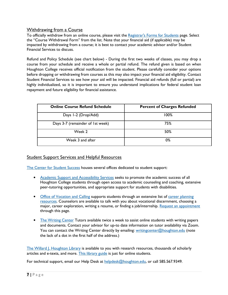# <span id="page-7-0"></span>Withdrawing from a Course

To officially withdraw from an online course, please visit the [Registrar's Forms for Students](https://www.houghton.edu/current-students/registrar/forms/) page. Select the "Course Withdrawal Form" from the list. Note that your financial aid (if applicable) may be impacted by withdrawing from a course; it is best to contact your academic advisor and/or Student Financial Services to discuss.

Refund and Policy Schedule (see chart below) - During the first two weeks of classes, you may drop a course from your schedule and receive a whole or partial refund. The refund given is based on when Houghton College receives official notification from the student. Please carefully consider your options before dropping or withdrawing from courses as this may also impact your financial aid eligibility. Contact Student Financial Services to see how your aid will be impacted. Financial aid refunds (full or partial) are highly individualized, so it is important to ensure you understand implications for federal student loan repayment and future eligibility for financial assistance.

| <b>Online Course Refund Schedule</b> | <b>Percent of Charges Refunded</b> |
|--------------------------------------|------------------------------------|
| Days I-2 (Drop/Add)                  | 100%                               |
| Days 3-7 (remainder of 1st week)     | 75%                                |
| Week 2                               | 50%                                |
| Week 3 and after                     | 0%                                 |

# **Student Support Services and Helpful Resources**

[The Center for Student Success](https://www.houghton.edu/current-students/center-for-student-success/) houses several offices dedicated to student support:

- [Academic Support and Accessibility Services](https://www.houghton.edu/current-students/center-for-student-success/academic-support-and-accessibility-services/) seeks to promote the academic success of all Houghton College students through open access to academic counseling and coaching, extensive peer-tutoring opportunities, and appropriate support for students with disabilities.
- [Office of Vocation and Calling](https://www.houghton.edu/current-students/center-for-student-success/office-of-vocation-and-calling/) supports students through an extensive list of career planning [resources.](https://www.houghton.edu/current-students/center-for-student-success/office-of-vocation-and-calling/career-planning-resources/) Counselors are available to talk with you about vocational discernment, choosing a major, career exploration, writing a resume, or finding a job/internship. [Request an appointment](https://www.houghton.edu/current-students/center-for-student-success/office-of-vocation-and-calling/request-an-appointment/) through this page.
- [The Writing Center](https://www.houghton.edu/current-students/center-for-student-success/writing-center/) Tutors available twice a week to assist online students with writing papers and documents. Contact your advisor for up-to date information on tutor availability via Zoom. You can contact the Writing Center directly by emailing: [writingcenter@houghton.edu](mailto:writingcenter@houghton.edu) (note the lack of a dot in the first half of the address.)

[The Willard J. Houghton Library](https://libguides.houghton.edu/WJHL) is available to you with research resources, thousands of scholarly articles and e-texts, and more. [This library guide](https://libguides.houghton.edu/Lib_Services_Online_Services_main) is just for online students.

For technical support, email our Help Desk at [helpdesk@houghton.edu,](mailto:helpdesk@houghton.edu) or call 585.567.9349.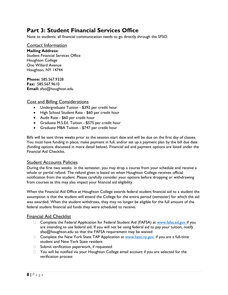# <span id="page-8-0"></span>**Part 3: Student Financial Services Office**

Note to students: all financial communication needs to go directly through the SFSO.

<span id="page-8-1"></span>Contact Information **Mailing Address:** Student Financial Services Office Houghton College One Willard Avenue Houghton, NY 14744

**Phone:** 585.567.9328 **Fax:** 585.567.9610 **Email:** sfso@houghton.edu

#### <span id="page-8-2"></span>Cost and Billing Considerations

- Undergraduate Tuition \$392 per credit hour
- High School Student Rate \$60 per credit hour
- Audit Rate \$60 per credit hour
- Graduate M.S.Ed. Tuition \$575 per credit hour
- Graduate MBA Tuition \$747 per credit hour

Bills will be sent three weeks prior to the session start date and will be due on the first day of classes. You must have funding in place, make payment in full, and/or set up a payment plan by the bill due date (funding options discussed in more detail below). Financial aid and payment options are listed under the Financial Aid Checklist.

## <span id="page-8-3"></span>Student Accounts Policies

During the first two weeks in the semester, you may drop a course from your schedule and receive a whole or partial refund. The refund given is based on when Houghton College receives official notification from the student. Please carefully consider your options before dropping or withdrawing from courses as this may also impact your financial aid eligibility.

When the Financial Aid Office at Houghton College awards federal student financial aid to a student the assumption is that the student will attend the College for the entire period (semester) for which the aid was awarded. When the student withdraws, they may no longer be eligible for the full amount of the federal student financial aid funds they were scheduled to receive.

#### <span id="page-8-4"></span>Financial Aid Checklist

- □ Complete the Federal Application for Federal Student Aid (FAFSA) at [www.fafsa.ed.gov](http://www.fafsa.ed.gov/) if you are intending to use federal aid. If you will not be using federal aid to pay your tuition, notify sfso@houghton.edu so that the FAFSA requirement may be waived
- $\Box$  Complete the New York State TAP Application at [www.hesc.ny.gov,](http://www.hesc.ny.gov/) if you are a full-time student and New York State resident
- $\Box$  Submit verification paperwork, if requested
- □ You will be notified via your Houghton College email account if you are selected for the verification process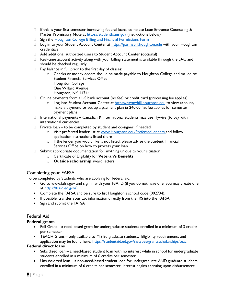- $\Box$  If this is your first semester borrowing federal loans, complete Loan Entrance Counseling & Mas[t](https://studentloans.gov/)er Promissory Note at [https://studentloans.gov](https://studentloans.gov/) (instructions below)
- **Sign the [Houghton College Billing and Financial Permissions Form](https://login.microsoftonline.com/common/oauth2/authorize?response_mode=form_post&response_type=id_token+code&scope=openid&msafed=0&nonce=9120a052-289a-46d8-a48f-47944ee43613.636777421140909257&state=https%3A%2F%2Fforms.office.com%2FPages%2FResponsePage.aspx%3Fid%3Dy8j2enjqvUK8gDNFI4u59MWAUFBznetHo5Us1hHR1AFUN0pPQUs4Q1JVTkNOTk80Qk81WDkwUEpTVC4u&client_id=c9a559d2-7aab-4f13-a6ed-e7e9c52aec87&redirect_uri=https:%2f%2fforms.office.com%2fauth%2fsignin)**
- □ Log in to your Student Account Center at [https://paymybill.houghton.edu](https://paymybill.houghton.edu/) with your Houghton credentials
- Add additional authorized users to Student Account Center (optional)
- $\Box$  Real-time account activity along with your billing statement is available through the SAC and should be checked regularly
- $\Box$  Pay balance in full prior to the first day of classes:
	- o Checks or money orders should be made payable to Houghton College and mailed to: Student Financial Services Office Houghton College One Willard Avenue Houghton, NY 14744
- $\Box$  Online payments from a US bank account (no fee) or credit card (processing fee applies):
	- $\circ$  Log into Student Account Center at [https://paymybill.houghton.edu](https://paymybill.houghton.edu/) to view account, make a payment, or set up a payment plan (a \$40.00 flat fee applies for semester payment plans
- $\Box$  International payments Canadian & International students may use **Flywire** (to pay with international currencies.
- $\Box$  Private loan to be completed by student and co-signer, if needed
	- o Visit preferred lender list at [www.Houghton.edu/PreferredLenders](http://www.houghton.edu/PreferredLenders) [a](http://www.houghton.edu/PreferredLenders)nd follow application instructions listed there
	- o If the lender you would like is not listed, please advise the Student Financial Services Office on how to process your loan
- $\Box$  Submit appropriate documentation for anything unique to your situation
	- o Certificate of Eligibility for **Veteran's Benefits**
	- o **Outside scholarship** award letters

#### <span id="page-9-0"></span>Completing your FAFSA

To be completed by Students who are applying for federal aid:

- Go to www.fafsa.gov and sign in with your FSA ID (if you do not have one, you may create one at [https://fsaid.ed.gov/\)](https://fsaid.ed.gov/)
- Complete the FAFSA and be sure to list Houghton's school code (002734).
- If possible, transfer your tax information directly from the IRS into the FAFSA.
- Sign and submit the FAFSA

## <span id="page-9-1"></span>Federal Aid

#### **Federal grants**

- Pell Grant a need-based grant for undergraduate students enrolled in a minimum of 3 credits per semester
- TEACH Grant only available to M.S.Ed graduate students. Eligibility requirements and application may be found here: https://studentaid.ed.gov/sa/types/grantsscholarships/teach.

#### **Federal direct loans**

- Subsidized loan a need-based student loan with no interest while in school for undergraduate students enrolled in a minimum of 6 credits per semester
- Unsubsidized loan a non-need-based student loan for undergraduate AND graduate students enrolled in a minimum of 6 credits per semester; interest begins accruing upon disbursement.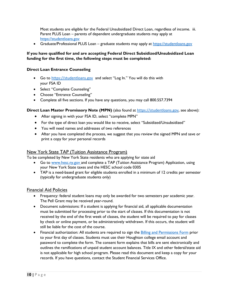Most students are eligible for the Federal Unsubsidized Direct Loan, regardless of income. iii. Parent PLUS Loan – parents of dependent undergraduate students may apply at [https://studentloans.gov](https://studentloans.gov/)

• Graduate/Professional PLUS Loan – graduate students may apply at [https://studentloans.gov](https://studentloans.gov/)

### **If you have qualified for and are accepting Federal Direct Subsidized/Unsubsidized Loan funding for the first time, the following steps must be completed:**

#### **Direct Loan Entrance Counseling**

- Go to [https://studentloans.gov](https://studentloans.gov/) and select "Log In." You will do this with your FSA ID
- Select "Complete Counseling"
- Choose "Entrance Counseling"
- Complete all five sections. If you have any questions, you may call 800.557.7394

#### **Direct Loan Master Promissory Note (MPN)** (also found at [https://studentloans.gov](https://studentloans.gov/), see above):

- After signing in with your FSA ID, select "complete MPN"
- For the type of direct loan you would like to receive, select "Subsidized/Unsubsidized"
- You will need names and addresses of two references
- After you have completed the process, we suggest that you review the signed MPN and save or print a copy for your personal records

# <span id="page-10-0"></span>New York State TAP (Tuition Assistance Program)

To be completed by New York State residents who are applying for state aid

- Go to [www.hesc.ny.gov](http://www.hesc.ny.gov/) and complete a TAP (Tuition Assistance Program) Application, using your New York State taxes and the HESC school code 0305
- TAP is a need-based grant for eligible students enrolled in a minimum of 12 credits per semester (typically for undergraduate students only)

## <span id="page-10-1"></span>Financial Aid Policies

- Frequency: federal student loans may only be awarded for two semesters per academic year. The Pell Grant may be received year-round.
- Document submissions: If a student is applying for financial aid, all applicable documentation must be submitted for processing prior to the start of classes. If this documentation is not received by the end of the first week of classes, the student will be required to pay for classes by check or online payment, or be administratively withdrawn. If this occurs, the student will still be liable for the cost of the course.
- Financial authorization: All students are required to sign the [Billing and Permissions Form](https://admission.houghton.edu/register/financialpermissions) prior to your first day of classes. Students must use their Houghton college email account and password to complete the form. The consent form explains that bills are sent electronically and outlines the ramifications of unpaid student account balances. Title IX and other federal/state aid is not applicable for high school program. Please read this document and keep a copy for your records. If you have questions, contact the Student Financial Services Office.